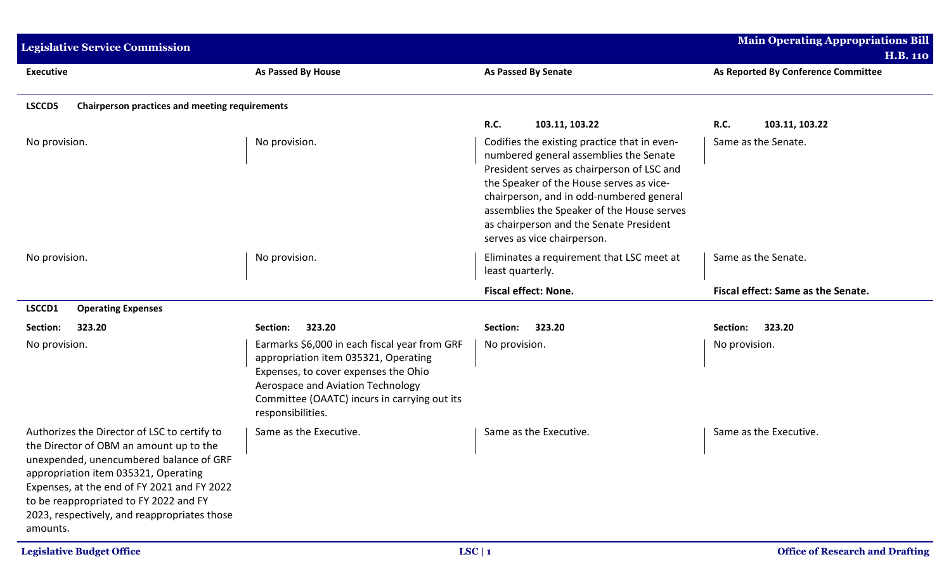| <b>Legislative Service Commission</b>                                                                                                                                                                                                                                                                                           |                                                                                                                                                                                                                                         |                                                                                                                                                                                                                                                                                                                                                      | <b>Main Operating Appropriations Bill</b><br><b>H.B. 110</b> |
|---------------------------------------------------------------------------------------------------------------------------------------------------------------------------------------------------------------------------------------------------------------------------------------------------------------------------------|-----------------------------------------------------------------------------------------------------------------------------------------------------------------------------------------------------------------------------------------|------------------------------------------------------------------------------------------------------------------------------------------------------------------------------------------------------------------------------------------------------------------------------------------------------------------------------------------------------|--------------------------------------------------------------|
| <b>Executive</b>                                                                                                                                                                                                                                                                                                                | As Passed By House                                                                                                                                                                                                                      | <b>As Passed By Senate</b>                                                                                                                                                                                                                                                                                                                           | As Reported By Conference Committee                          |
| LSCCD5<br><b>Chairperson practices and meeting requirements</b>                                                                                                                                                                                                                                                                 |                                                                                                                                                                                                                                         |                                                                                                                                                                                                                                                                                                                                                      |                                                              |
|                                                                                                                                                                                                                                                                                                                                 |                                                                                                                                                                                                                                         | <b>R.C.</b><br>103.11, 103.22                                                                                                                                                                                                                                                                                                                        | <b>R.C.</b><br>103.11, 103.22                                |
| No provision.                                                                                                                                                                                                                                                                                                                   | No provision.                                                                                                                                                                                                                           | Codifies the existing practice that in even-<br>numbered general assemblies the Senate<br>President serves as chairperson of LSC and<br>the Speaker of the House serves as vice-<br>chairperson, and in odd-numbered general<br>assemblies the Speaker of the House serves<br>as chairperson and the Senate President<br>serves as vice chairperson. | Same as the Senate.                                          |
| No provision.                                                                                                                                                                                                                                                                                                                   | No provision.                                                                                                                                                                                                                           | Eliminates a requirement that LSC meet at<br>least quarterly.                                                                                                                                                                                                                                                                                        | Same as the Senate.                                          |
|                                                                                                                                                                                                                                                                                                                                 |                                                                                                                                                                                                                                         | Fiscal effect: None.                                                                                                                                                                                                                                                                                                                                 | Fiscal effect: Same as the Senate.                           |
| LSCCD1<br><b>Operating Expenses</b>                                                                                                                                                                                                                                                                                             |                                                                                                                                                                                                                                         |                                                                                                                                                                                                                                                                                                                                                      |                                                              |
| 323.20<br>Section:                                                                                                                                                                                                                                                                                                              | 323.20<br>Section:                                                                                                                                                                                                                      | 323.20<br>Section:                                                                                                                                                                                                                                                                                                                                   | 323.20<br>Section:                                           |
| No provision.                                                                                                                                                                                                                                                                                                                   | Earmarks \$6,000 in each fiscal year from GRF<br>appropriation item 035321, Operating<br>Expenses, to cover expenses the Ohio<br>Aerospace and Aviation Technology<br>Committee (OAATC) incurs in carrying out its<br>responsibilities. | No provision.                                                                                                                                                                                                                                                                                                                                        | No provision.                                                |
| Authorizes the Director of LSC to certify to<br>the Director of OBM an amount up to the<br>unexpended, unencumbered balance of GRF<br>appropriation item 035321, Operating<br>Expenses, at the end of FY 2021 and FY 2022<br>to be reappropriated to FY 2022 and FY<br>2023, respectively, and reappropriates those<br>amounts. | Same as the Executive.                                                                                                                                                                                                                  | Same as the Executive.                                                                                                                                                                                                                                                                                                                               | Same as the Executive.                                       |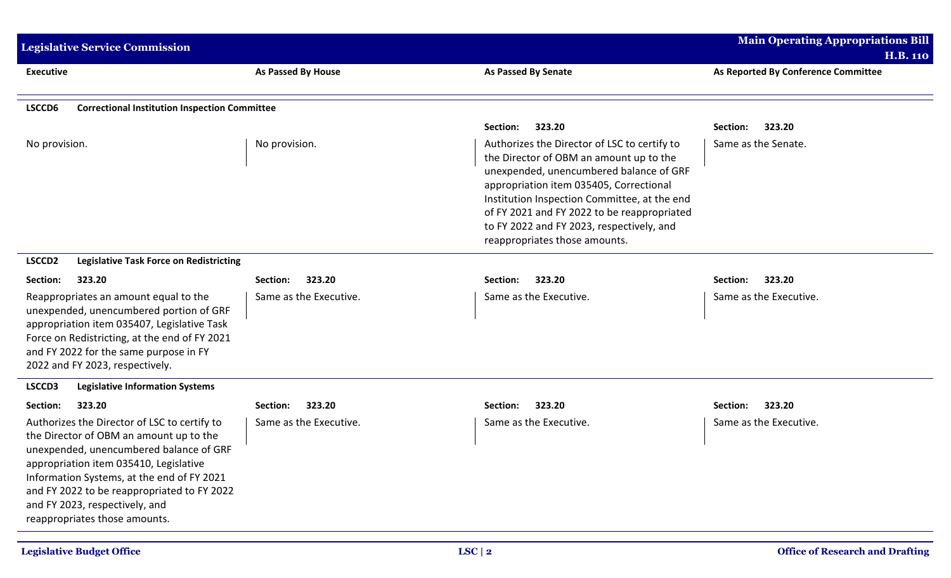| <b>Legislative Service Commission</b>                                                                                                                                                                                                                                                                                                        |                        |                                                                                                                                                                                                                                                                                                                                                            | <b>Main Operating Appropriations Bill</b><br><b>H.B. 110</b> |
|----------------------------------------------------------------------------------------------------------------------------------------------------------------------------------------------------------------------------------------------------------------------------------------------------------------------------------------------|------------------------|------------------------------------------------------------------------------------------------------------------------------------------------------------------------------------------------------------------------------------------------------------------------------------------------------------------------------------------------------------|--------------------------------------------------------------|
| <b>Executive</b>                                                                                                                                                                                                                                                                                                                             | As Passed By House     | <b>As Passed By Senate</b>                                                                                                                                                                                                                                                                                                                                 | As Reported By Conference Committee                          |
| LSCCD6<br><b>Correctional Institution Inspection Committee</b>                                                                                                                                                                                                                                                                               |                        |                                                                                                                                                                                                                                                                                                                                                            |                                                              |
|                                                                                                                                                                                                                                                                                                                                              |                        | 323.20<br>Section:                                                                                                                                                                                                                                                                                                                                         | Section:<br>323.20                                           |
| No provision.                                                                                                                                                                                                                                                                                                                                | No provision.          | Authorizes the Director of LSC to certify to<br>the Director of OBM an amount up to the<br>unexpended, unencumbered balance of GRF<br>appropriation item 035405, Correctional<br>Institution Inspection Committee, at the end<br>of FY 2021 and FY 2022 to be reappropriated<br>to FY 2022 and FY 2023, respectively, and<br>reappropriates those amounts. | Same as the Senate.                                          |
| LSCCD <sub>2</sub><br><b>Legislative Task Force on Redistricting</b>                                                                                                                                                                                                                                                                         |                        |                                                                                                                                                                                                                                                                                                                                                            |                                                              |
| Section:<br>323.20                                                                                                                                                                                                                                                                                                                           | 323.20<br>Section:     | 323.20<br>Section:                                                                                                                                                                                                                                                                                                                                         | 323.20<br>Section:                                           |
| Reappropriates an amount equal to the<br>unexpended, unencumbered portion of GRF<br>appropriation item 035407, Legislative Task<br>Force on Redistricting, at the end of FY 2021<br>and FY 2022 for the same purpose in FY<br>2022 and FY 2023, respectively.                                                                                | Same as the Executive. | Same as the Executive.                                                                                                                                                                                                                                                                                                                                     | Same as the Executive.                                       |
| LSCCD3<br><b>Legislative Information Systems</b>                                                                                                                                                                                                                                                                                             |                        |                                                                                                                                                                                                                                                                                                                                                            |                                                              |
| Section:<br>323.20                                                                                                                                                                                                                                                                                                                           | 323.20<br>Section:     | 323.20<br>Section:                                                                                                                                                                                                                                                                                                                                         | Section:<br>323.20                                           |
| Authorizes the Director of LSC to certify to<br>the Director of OBM an amount up to the<br>unexpended, unencumbered balance of GRF<br>appropriation item 035410, Legislative<br>Information Systems, at the end of FY 2021<br>and FY 2022 to be reappropriated to FY 2022<br>and FY 2023, respectively, and<br>reappropriates those amounts. | Same as the Executive. | Same as the Executive.                                                                                                                                                                                                                                                                                                                                     | Same as the Executive.                                       |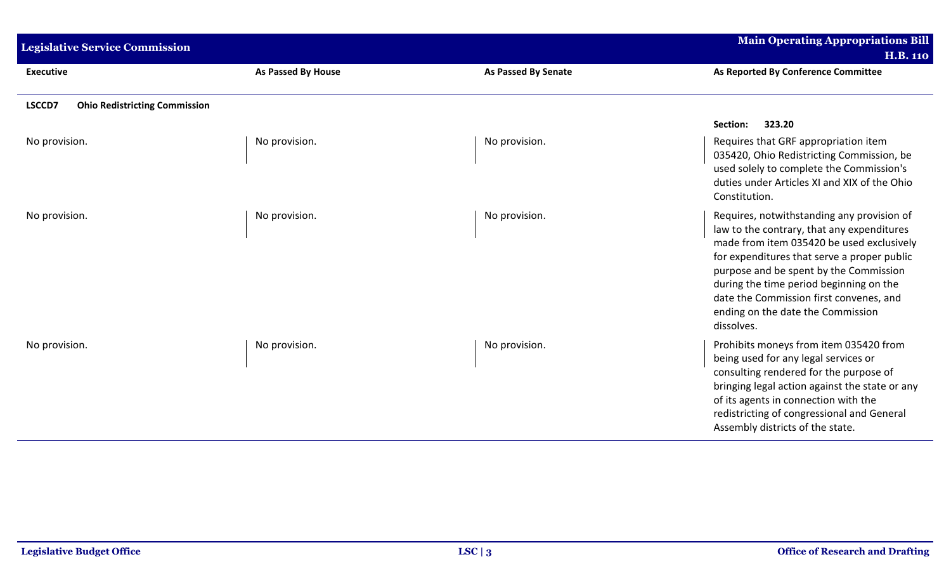| <b>Legislative Service Commission</b>          |                           |                            | <b>Main Operating Appropriations Bill</b><br><b>H.B. 110</b>                                                                                                                                                                                                                                                                                                            |
|------------------------------------------------|---------------------------|----------------------------|-------------------------------------------------------------------------------------------------------------------------------------------------------------------------------------------------------------------------------------------------------------------------------------------------------------------------------------------------------------------------|
| <b>Executive</b>                               | <b>As Passed By House</b> | <b>As Passed By Senate</b> | As Reported By Conference Committee                                                                                                                                                                                                                                                                                                                                     |
| LSCCD7<br><b>Ohio Redistricting Commission</b> |                           |                            |                                                                                                                                                                                                                                                                                                                                                                         |
|                                                |                           |                            | 323.20<br>Section:                                                                                                                                                                                                                                                                                                                                                      |
| No provision.                                  | No provision.             | No provision.              | Requires that GRF appropriation item<br>035420, Ohio Redistricting Commission, be<br>used solely to complete the Commission's<br>duties under Articles XI and XIX of the Ohio<br>Constitution.                                                                                                                                                                          |
| No provision.                                  | No provision.             | No provision.              | Requires, notwithstanding any provision of<br>law to the contrary, that any expenditures<br>made from item 035420 be used exclusively<br>for expenditures that serve a proper public<br>purpose and be spent by the Commission<br>during the time period beginning on the<br>date the Commission first convenes, and<br>ending on the date the Commission<br>dissolves. |
| No provision.                                  | No provision.             | No provision.              | Prohibits moneys from item 035420 from<br>being used for any legal services or<br>consulting rendered for the purpose of<br>bringing legal action against the state or any<br>of its agents in connection with the<br>redistricting of congressional and General<br>Assembly districts of the state.                                                                    |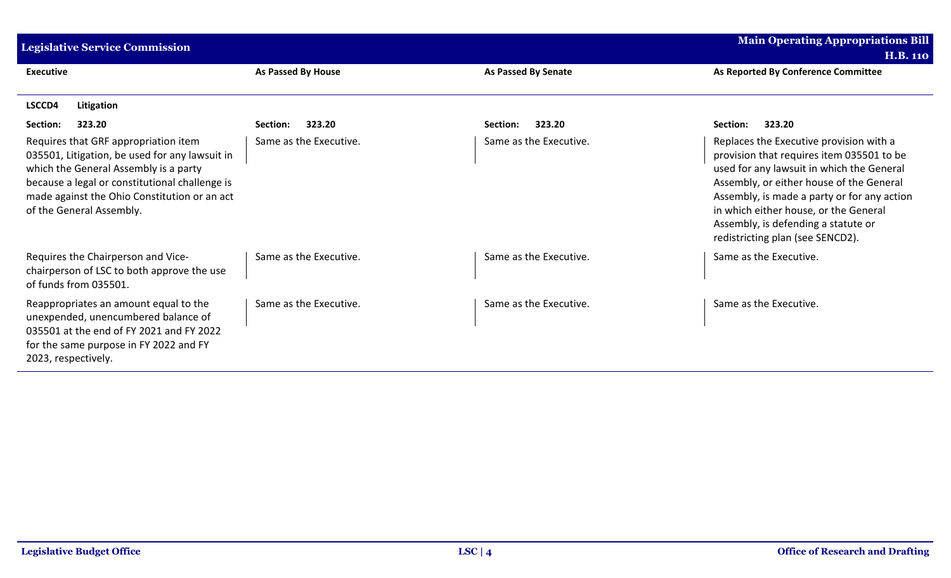| <b>Legislative Service Commission</b>                                                                                                                                                                                                                         |                        |                        | <b>Main Operating Appropriations Bill</b><br><b>H.B. 110</b>                                                                                                                                                                                                                                                                                     |
|---------------------------------------------------------------------------------------------------------------------------------------------------------------------------------------------------------------------------------------------------------------|------------------------|------------------------|--------------------------------------------------------------------------------------------------------------------------------------------------------------------------------------------------------------------------------------------------------------------------------------------------------------------------------------------------|
| <b>Executive</b>                                                                                                                                                                                                                                              | As Passed By House     | As Passed By Senate    | As Reported By Conference Committee                                                                                                                                                                                                                                                                                                              |
| LSCCD4<br>Litigation                                                                                                                                                                                                                                          |                        |                        |                                                                                                                                                                                                                                                                                                                                                  |
| 323.20<br>Section:                                                                                                                                                                                                                                            | 323.20<br>Section:     | 323.20<br>Section:     | 323.20<br>Section:                                                                                                                                                                                                                                                                                                                               |
| Requires that GRF appropriation item<br>035501, Litigation, be used for any lawsuit in<br>which the General Assembly is a party<br>because a legal or constitutional challenge is<br>made against the Ohio Constitution or an act<br>of the General Assembly. | Same as the Executive. | Same as the Executive. | Replaces the Executive provision with a<br>provision that requires item 035501 to be<br>used for any lawsuit in which the General<br>Assembly, or either house of the General<br>Assembly, is made a party or for any action<br>in which either house, or the General<br>Assembly, is defending a statute or<br>redistricting plan (see SENCD2). |
| Requires the Chairperson and Vice-<br>chairperson of LSC to both approve the use<br>of funds from 035501.                                                                                                                                                     | Same as the Executive. | Same as the Executive. | Same as the Executive.                                                                                                                                                                                                                                                                                                                           |
| Reappropriates an amount equal to the<br>unexpended, unencumbered balance of<br>035501 at the end of FY 2021 and FY 2022<br>for the same purpose in FY 2022 and FY<br>2023, respectively.                                                                     | Same as the Executive. | Same as the Executive. | Same as the Executive.                                                                                                                                                                                                                                                                                                                           |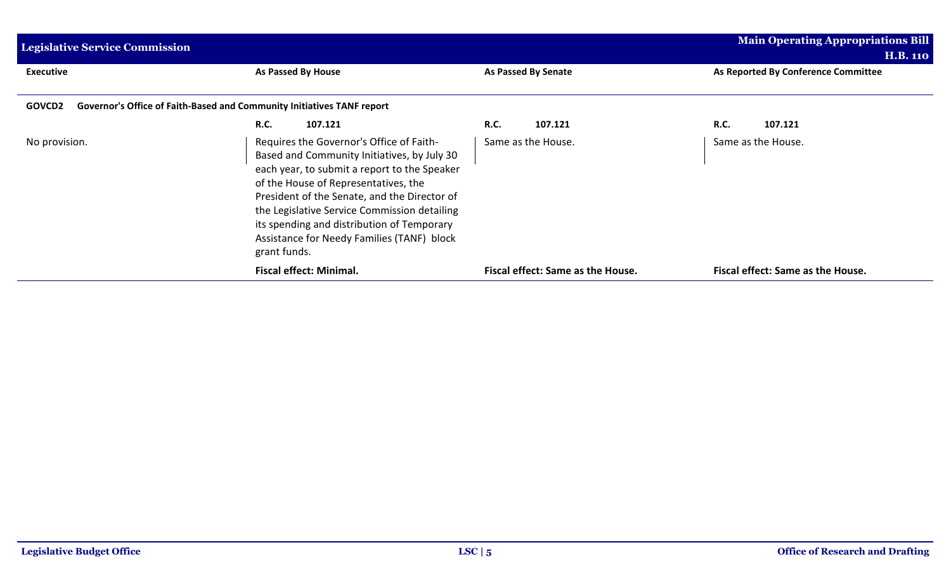| <b>Legislative Service Commission</b>                                            |                                                                                                                                                                                                                                                                                                                                                                                             |                                   | Main Operating Appropriations Bill<br><b>H.B. 110</b> |  |
|----------------------------------------------------------------------------------|---------------------------------------------------------------------------------------------------------------------------------------------------------------------------------------------------------------------------------------------------------------------------------------------------------------------------------------------------------------------------------------------|-----------------------------------|-------------------------------------------------------|--|
| <b>Executive</b>                                                                 | As Passed By House                                                                                                                                                                                                                                                                                                                                                                          | As Passed By Senate               | As Reported By Conference Committee                   |  |
| Governor's Office of Faith-Based and Community Initiatives TANF report<br>GOVCD2 |                                                                                                                                                                                                                                                                                                                                                                                             |                                   |                                                       |  |
|                                                                                  | <b>R.C.</b><br>107.121                                                                                                                                                                                                                                                                                                                                                                      | <b>R.C.</b><br>107.121            | <b>R.C.</b><br>107.121                                |  |
| No provision.                                                                    | Requires the Governor's Office of Faith-<br>Based and Community Initiatives, by July 30<br>each year, to submit a report to the Speaker<br>of the House of Representatives, the<br>President of the Senate, and the Director of<br>the Legislative Service Commission detailing<br>its spending and distribution of Temporary<br>Assistance for Needy Families (TANF) block<br>grant funds. | Same as the House.                | Same as the House.                                    |  |
|                                                                                  | <b>Fiscal effect: Minimal.</b>                                                                                                                                                                                                                                                                                                                                                              | Fiscal effect: Same as the House. | Fiscal effect: Same as the House.                     |  |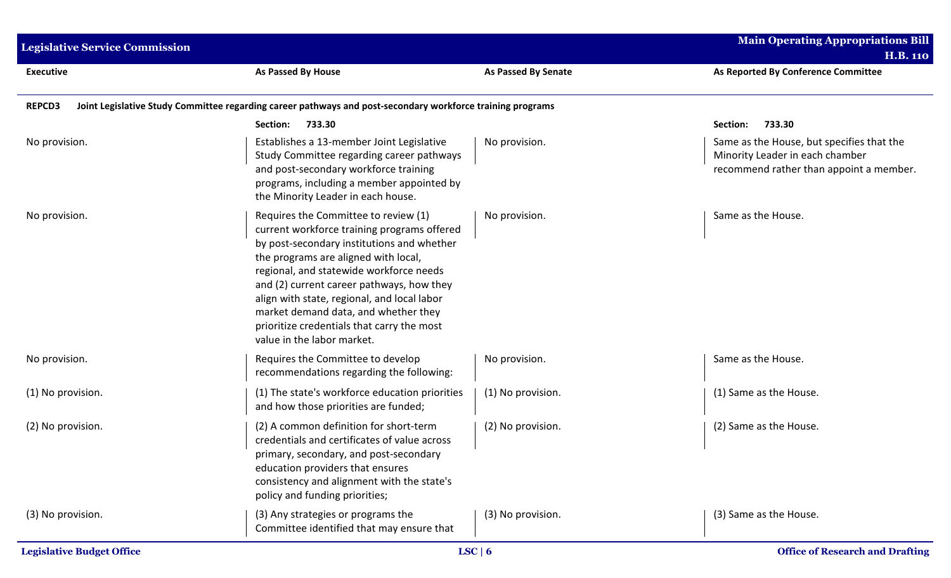| <b>Legislative Service Commission</b> |                                                                                                                                                                                                                                                                                                                                                                                                                                      |                            | <b>Main Operating Appropriations Bill</b><br><b>H.B. 110</b>                                                            |
|---------------------------------------|--------------------------------------------------------------------------------------------------------------------------------------------------------------------------------------------------------------------------------------------------------------------------------------------------------------------------------------------------------------------------------------------------------------------------------------|----------------------------|-------------------------------------------------------------------------------------------------------------------------|
| <b>Executive</b>                      | As Passed By House                                                                                                                                                                                                                                                                                                                                                                                                                   | <b>As Passed By Senate</b> | As Reported By Conference Committee                                                                                     |
| <b>REPCD3</b>                         | Joint Legislative Study Committee regarding career pathways and post-secondary workforce training programs                                                                                                                                                                                                                                                                                                                           |                            |                                                                                                                         |
|                                       | 733.30<br>Section:                                                                                                                                                                                                                                                                                                                                                                                                                   |                            | 733.30<br>Section:                                                                                                      |
| No provision.                         | Establishes a 13-member Joint Legislative<br>Study Committee regarding career pathways<br>and post-secondary workforce training<br>programs, including a member appointed by<br>the Minority Leader in each house.                                                                                                                                                                                                                   | No provision.              | Same as the House, but specifies that the<br>Minority Leader in each chamber<br>recommend rather than appoint a member. |
| No provision.                         | Requires the Committee to review (1)<br>current workforce training programs offered<br>by post-secondary institutions and whether<br>the programs are aligned with local,<br>regional, and statewide workforce needs<br>and (2) current career pathways, how they<br>align with state, regional, and local labor<br>market demand data, and whether they<br>prioritize credentials that carry the most<br>value in the labor market. | No provision.              | Same as the House.                                                                                                      |
| No provision.                         | Requires the Committee to develop<br>recommendations regarding the following:                                                                                                                                                                                                                                                                                                                                                        | No provision.              | Same as the House.                                                                                                      |
| (1) No provision.                     | (1) The state's workforce education priorities<br>and how those priorities are funded;                                                                                                                                                                                                                                                                                                                                               | (1) No provision.          | (1) Same as the House.                                                                                                  |
| (2) No provision.                     | (2) A common definition for short-term<br>credentials and certificates of value across<br>primary, secondary, and post-secondary<br>education providers that ensures<br>consistency and alignment with the state's<br>policy and funding priorities;                                                                                                                                                                                 | (2) No provision.          | (2) Same as the House.                                                                                                  |
| (3) No provision.                     | (3) Any strategies or programs the<br>Committee identified that may ensure that                                                                                                                                                                                                                                                                                                                                                      | (3) No provision.          | (3) Same as the House.                                                                                                  |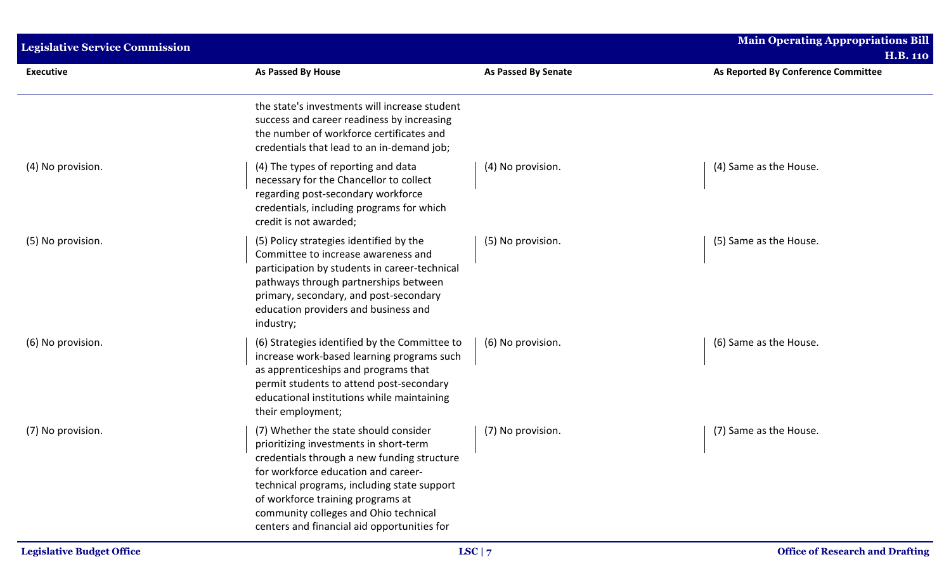| <b>Legislative Service Commission</b> |                                                                                                                                                                                                                                                                                                                                                   |                            | <b>Main Operating Appropriations Bill</b><br><b>H.B. 110</b> |
|---------------------------------------|---------------------------------------------------------------------------------------------------------------------------------------------------------------------------------------------------------------------------------------------------------------------------------------------------------------------------------------------------|----------------------------|--------------------------------------------------------------|
| <b>Executive</b>                      | <b>As Passed By House</b>                                                                                                                                                                                                                                                                                                                         | <b>As Passed By Senate</b> | As Reported By Conference Committee                          |
|                                       | the state's investments will increase student<br>success and career readiness by increasing<br>the number of workforce certificates and<br>credentials that lead to an in-demand job;                                                                                                                                                             |                            |                                                              |
| (4) No provision.                     | (4) The types of reporting and data<br>necessary for the Chancellor to collect<br>regarding post-secondary workforce<br>credentials, including programs for which<br>credit is not awarded;                                                                                                                                                       | (4) No provision.          | (4) Same as the House.                                       |
| (5) No provision.                     | (5) Policy strategies identified by the<br>Committee to increase awareness and<br>participation by students in career-technical<br>pathways through partnerships between<br>primary, secondary, and post-secondary<br>education providers and business and<br>industry;                                                                           | (5) No provision.          | (5) Same as the House.                                       |
| (6) No provision.                     | (6) Strategies identified by the Committee to<br>increase work-based learning programs such<br>as apprenticeships and programs that<br>permit students to attend post-secondary<br>educational institutions while maintaining<br>their employment;                                                                                                | (6) No provision.          | (6) Same as the House.                                       |
| (7) No provision.                     | (7) Whether the state should consider<br>prioritizing investments in short-term<br>credentials through a new funding structure<br>for workforce education and career-<br>technical programs, including state support<br>of workforce training programs at<br>community colleges and Ohio technical<br>centers and financial aid opportunities for | (7) No provision.          | (7) Same as the House.                                       |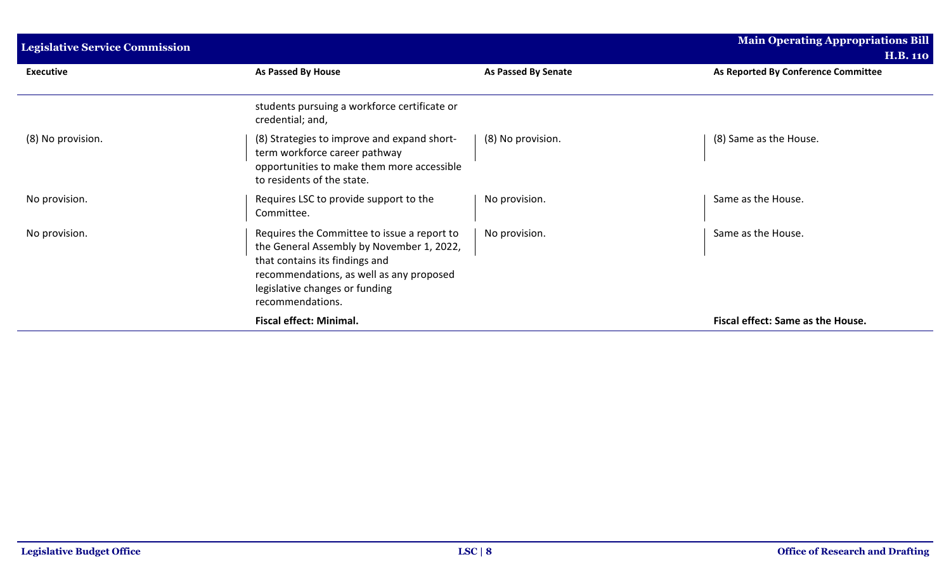| <b>Legislative Service Commission</b> |                                                                                                                                                                                                                              |                            | <b>Main Operating Appropriations Bill</b><br><b>H.B. 110</b> |
|---------------------------------------|------------------------------------------------------------------------------------------------------------------------------------------------------------------------------------------------------------------------------|----------------------------|--------------------------------------------------------------|
| <b>Executive</b>                      | As Passed By House                                                                                                                                                                                                           | <b>As Passed By Senate</b> | As Reported By Conference Committee                          |
|                                       | students pursuing a workforce certificate or<br>credential; and,                                                                                                                                                             |                            |                                                              |
| (8) No provision.                     | (8) Strategies to improve and expand short-<br>term workforce career pathway<br>opportunities to make them more accessible<br>to residents of the state.                                                                     | (8) No provision.          | (8) Same as the House.                                       |
| No provision.                         | Requires LSC to provide support to the<br>Committee.                                                                                                                                                                         | No provision.              | Same as the House.                                           |
| No provision.                         | Requires the Committee to issue a report to<br>the General Assembly by November 1, 2022,<br>that contains its findings and<br>recommendations, as well as any proposed<br>legislative changes or funding<br>recommendations. | No provision.              | Same as the House.                                           |
|                                       | <b>Fiscal effect: Minimal.</b>                                                                                                                                                                                               |                            | Fiscal effect: Same as the House.                            |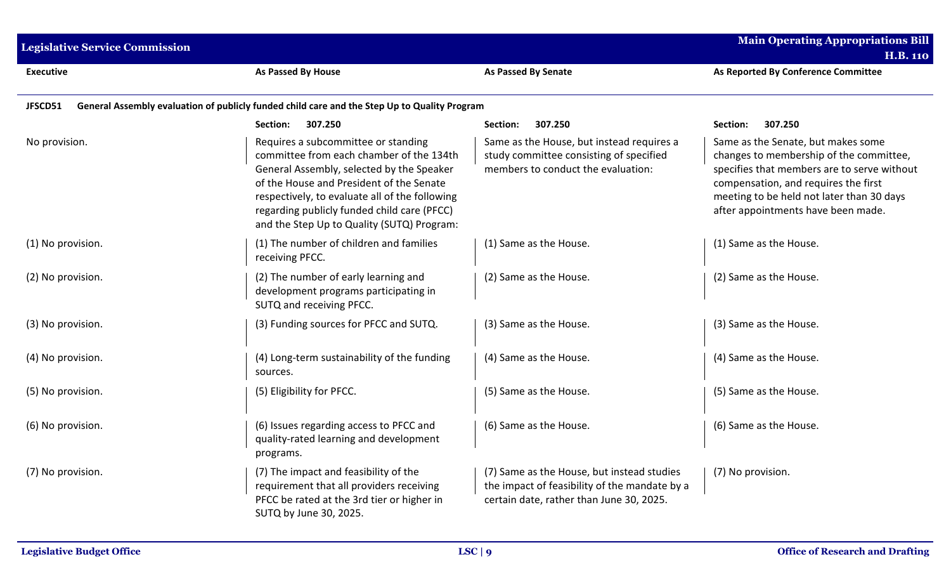| <b>Legislative Service Commission</b> |                                                                                                                                                                                                                                                                                                                         |                                                                                                                                         | <b>Main Operating Appropriations Bill</b><br><b>H.B. 110</b>                                                                                                                                                                                            |
|---------------------------------------|-------------------------------------------------------------------------------------------------------------------------------------------------------------------------------------------------------------------------------------------------------------------------------------------------------------------------|-----------------------------------------------------------------------------------------------------------------------------------------|---------------------------------------------------------------------------------------------------------------------------------------------------------------------------------------------------------------------------------------------------------|
| <b>Executive</b>                      | As Passed By House                                                                                                                                                                                                                                                                                                      | <b>As Passed By Senate</b>                                                                                                              | As Reported By Conference Committee                                                                                                                                                                                                                     |
| JFSCD51                               | General Assembly evaluation of publicly funded child care and the Step Up to Quality Program                                                                                                                                                                                                                            |                                                                                                                                         |                                                                                                                                                                                                                                                         |
|                                       | 307.250<br>Section:                                                                                                                                                                                                                                                                                                     | 307.250<br>Section:                                                                                                                     | 307.250<br>Section:                                                                                                                                                                                                                                     |
| No provision.                         | Requires a subcommittee or standing<br>committee from each chamber of the 134th<br>General Assembly, selected by the Speaker<br>of the House and President of the Senate<br>respectively, to evaluate all of the following<br>regarding publicly funded child care (PFCC)<br>and the Step Up to Quality (SUTQ) Program: | Same as the House, but instead requires a<br>study committee consisting of specified<br>members to conduct the evaluation:              | Same as the Senate, but makes some<br>changes to membership of the committee,<br>specifies that members are to serve without<br>compensation, and requires the first<br>meeting to be held not later than 30 days<br>after appointments have been made. |
| (1) No provision.                     | (1) The number of children and families<br>receiving PFCC.                                                                                                                                                                                                                                                              | (1) Same as the House.                                                                                                                  | (1) Same as the House.                                                                                                                                                                                                                                  |
| (2) No provision.                     | (2) The number of early learning and<br>development programs participating in<br>SUTQ and receiving PFCC.                                                                                                                                                                                                               | (2) Same as the House.                                                                                                                  | (2) Same as the House.                                                                                                                                                                                                                                  |
| (3) No provision.                     | (3) Funding sources for PFCC and SUTQ.                                                                                                                                                                                                                                                                                  | (3) Same as the House.                                                                                                                  | (3) Same as the House.                                                                                                                                                                                                                                  |
| (4) No provision.                     | (4) Long-term sustainability of the funding<br>sources.                                                                                                                                                                                                                                                                 | (4) Same as the House.                                                                                                                  | (4) Same as the House.                                                                                                                                                                                                                                  |
| (5) No provision.                     | (5) Eligibility for PFCC.                                                                                                                                                                                                                                                                                               | (5) Same as the House.                                                                                                                  | (5) Same as the House.                                                                                                                                                                                                                                  |
| (6) No provision.                     | (6) Issues regarding access to PFCC and<br>quality-rated learning and development<br>programs.                                                                                                                                                                                                                          | (6) Same as the House.                                                                                                                  | (6) Same as the House.                                                                                                                                                                                                                                  |
| (7) No provision.                     | (7) The impact and feasibility of the<br>requirement that all providers receiving<br>PFCC be rated at the 3rd tier or higher in<br>SUTQ by June 30, 2025.                                                                                                                                                               | (7) Same as the House, but instead studies<br>the impact of feasibility of the mandate by a<br>certain date, rather than June 30, 2025. | (7) No provision.                                                                                                                                                                                                                                       |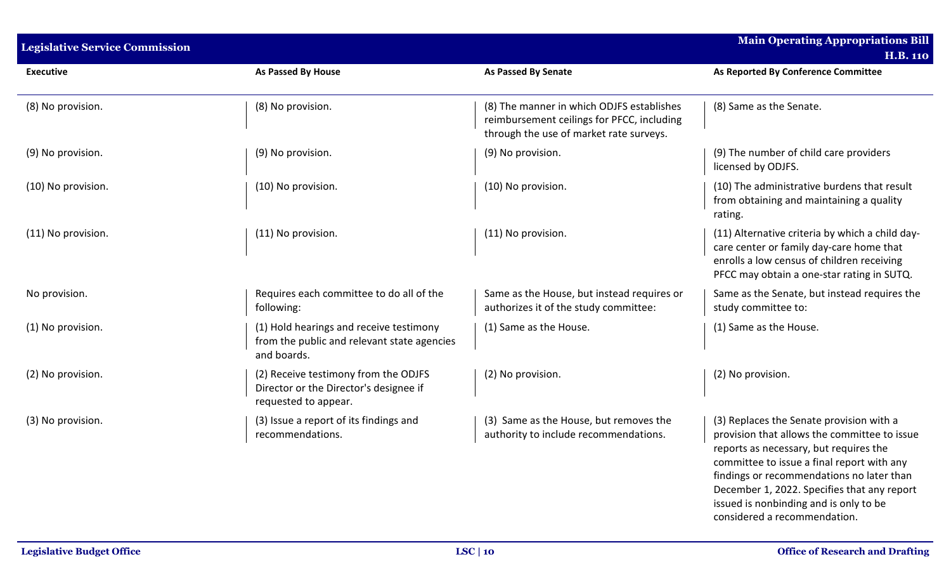| <b>Legislative Service Commission</b> |                                                                                                        |                                                                                                                                    | <b>Main Operating Appropriations Bill</b><br><b>H.B. 110</b>                                                                                                                                                                                                                                                                                           |
|---------------------------------------|--------------------------------------------------------------------------------------------------------|------------------------------------------------------------------------------------------------------------------------------------|--------------------------------------------------------------------------------------------------------------------------------------------------------------------------------------------------------------------------------------------------------------------------------------------------------------------------------------------------------|
| <b>Executive</b>                      | <b>As Passed By House</b>                                                                              | <b>As Passed By Senate</b>                                                                                                         | As Reported By Conference Committee                                                                                                                                                                                                                                                                                                                    |
| (8) No provision.                     | (8) No provision.                                                                                      | (8) The manner in which ODJFS establishes<br>reimbursement ceilings for PFCC, including<br>through the use of market rate surveys. | (8) Same as the Senate.                                                                                                                                                                                                                                                                                                                                |
| (9) No provision.                     | (9) No provision.                                                                                      | (9) No provision.                                                                                                                  | (9) The number of child care providers<br>licensed by ODJFS.                                                                                                                                                                                                                                                                                           |
| (10) No provision.                    | (10) No provision.                                                                                     | (10) No provision.                                                                                                                 | (10) The administrative burdens that result<br>from obtaining and maintaining a quality<br>rating.                                                                                                                                                                                                                                                     |
| (11) No provision.                    | (11) No provision.                                                                                     | (11) No provision.                                                                                                                 | (11) Alternative criteria by which a child day-<br>care center or family day-care home that<br>enrolls a low census of children receiving<br>PFCC may obtain a one-star rating in SUTQ.                                                                                                                                                                |
| No provision.                         | Requires each committee to do all of the<br>following:                                                 | Same as the House, but instead requires or<br>authorizes it of the study committee:                                                | Same as the Senate, but instead requires the<br>study committee to:                                                                                                                                                                                                                                                                                    |
| (1) No provision.                     | (1) Hold hearings and receive testimony<br>from the public and relevant state agencies<br>and boards.  | (1) Same as the House.                                                                                                             | (1) Same as the House.                                                                                                                                                                                                                                                                                                                                 |
| (2) No provision.                     | (2) Receive testimony from the ODJFS<br>Director or the Director's designee if<br>requested to appear. | (2) No provision.                                                                                                                  | (2) No provision.                                                                                                                                                                                                                                                                                                                                      |
| (3) No provision.                     | (3) Issue a report of its findings and<br>recommendations.                                             | (3) Same as the House, but removes the<br>authority to include recommendations.                                                    | (3) Replaces the Senate provision with a<br>provision that allows the committee to issue<br>reports as necessary, but requires the<br>committee to issue a final report with any<br>findings or recommendations no later than<br>December 1, 2022. Specifies that any report<br>issued is nonbinding and is only to be<br>considered a recommendation. |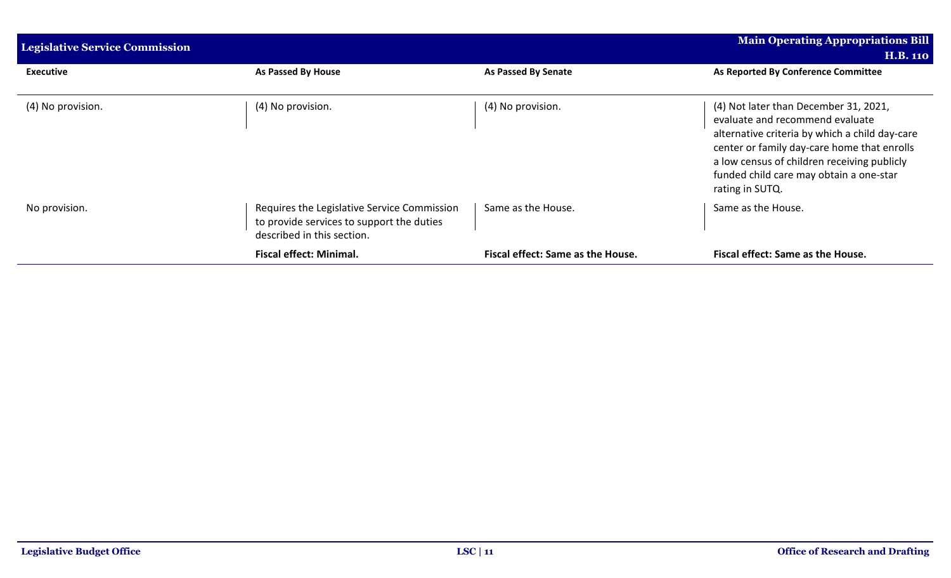| <b>Legislative Service Commission</b> |                                                                                                                        |                                   | <b>Main Operating Appropriations Bill</b><br><b>H.B. 110</b>                                                                                                                                                                                                                           |
|---------------------------------------|------------------------------------------------------------------------------------------------------------------------|-----------------------------------|----------------------------------------------------------------------------------------------------------------------------------------------------------------------------------------------------------------------------------------------------------------------------------------|
| <b>Executive</b>                      | As Passed By House                                                                                                     | As Passed By Senate               | As Reported By Conference Committee                                                                                                                                                                                                                                                    |
| (4) No provision.                     | (4) No provision.                                                                                                      | (4) No provision.                 | (4) Not later than December 31, 2021,<br>evaluate and recommend evaluate<br>alternative criteria by which a child day-care<br>center or family day-care home that enrolls<br>a low census of children receiving publicly<br>funded child care may obtain a one-star<br>rating in SUTQ. |
| No provision.                         | Requires the Legislative Service Commission<br>to provide services to support the duties<br>described in this section. | Same as the House.                | Same as the House.                                                                                                                                                                                                                                                                     |
|                                       | <b>Fiscal effect: Minimal.</b>                                                                                         | Fiscal effect: Same as the House. | Fiscal effect: Same as the House.                                                                                                                                                                                                                                                      |